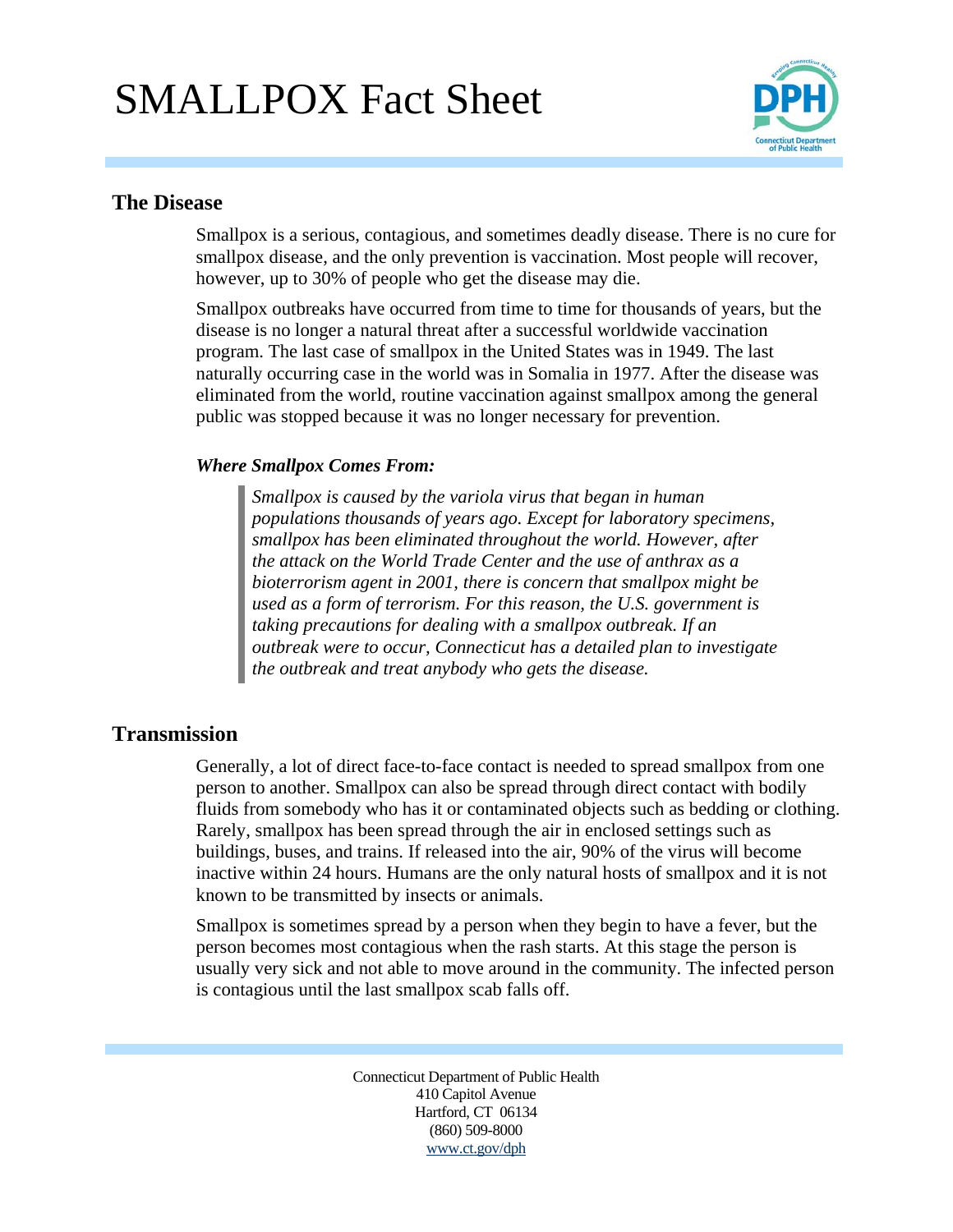# SMALLPOX Fact Sheet



### **The Disease**

Smallpox is a serious, contagious, and sometimes deadly disease. There is no cure for smallpox disease, and the only prevention is vaccination. Most people will recover, however, up to 30% of people who get the disease may die.

Smallpox outbreaks have occurred from time to time for thousands of years, but the disease is no longer a natural threat after a successful worldwide vaccination program. The last case of smallpox in the United States was in 1949. The last naturally occurring case in the world was in Somalia in 1977. After the disease was eliminated from the world, routine vaccination against smallpox among the general public was stopped because it was no longer necessary for prevention.

### *Where Smallpox Comes From:*

*Smallpox is caused by the variola virus that began in human populations thousands of years ago. Except for laboratory specimens, smallpox has been eliminated throughout the world. However, after the attack on the World Trade Center and the use of anthrax as a bioterrorism agent in 2001, there is concern that smallpox might be used as a form of terrorism. For this reason, the U.S. government is taking precautions for dealing with a smallpox outbreak. If an outbreak were to occur, Connecticut has a detailed plan to investigate the outbreak and treat anybody who gets the disease.*

### **Transmission**

Generally, a lot of direct face-to-face contact is needed to spread smallpox from one person to another. Smallpox can also be spread through direct contact with bodily fluids from somebody who has it or contaminated objects such as bedding or clothing. Rarely, smallpox has been spread through the air in enclosed settings such as buildings, buses, and trains. If released into the air, 90% of the virus will become inactive within 24 hours. Humans are the only natural hosts of smallpox and it is not known to be transmitted by insects or animals.

Smallpox is sometimes spread by a person when they begin to have a fever, but the person becomes most contagious when the rash starts. At this stage the person is usually very sick and not able to move around in the community. The infected person is contagious until the last smallpox scab falls off.

> Connecticut Department of Public Health 410 Capitol Avenue Hartford, CT 06134 (860) 509-8000 www.ct.gov/dph